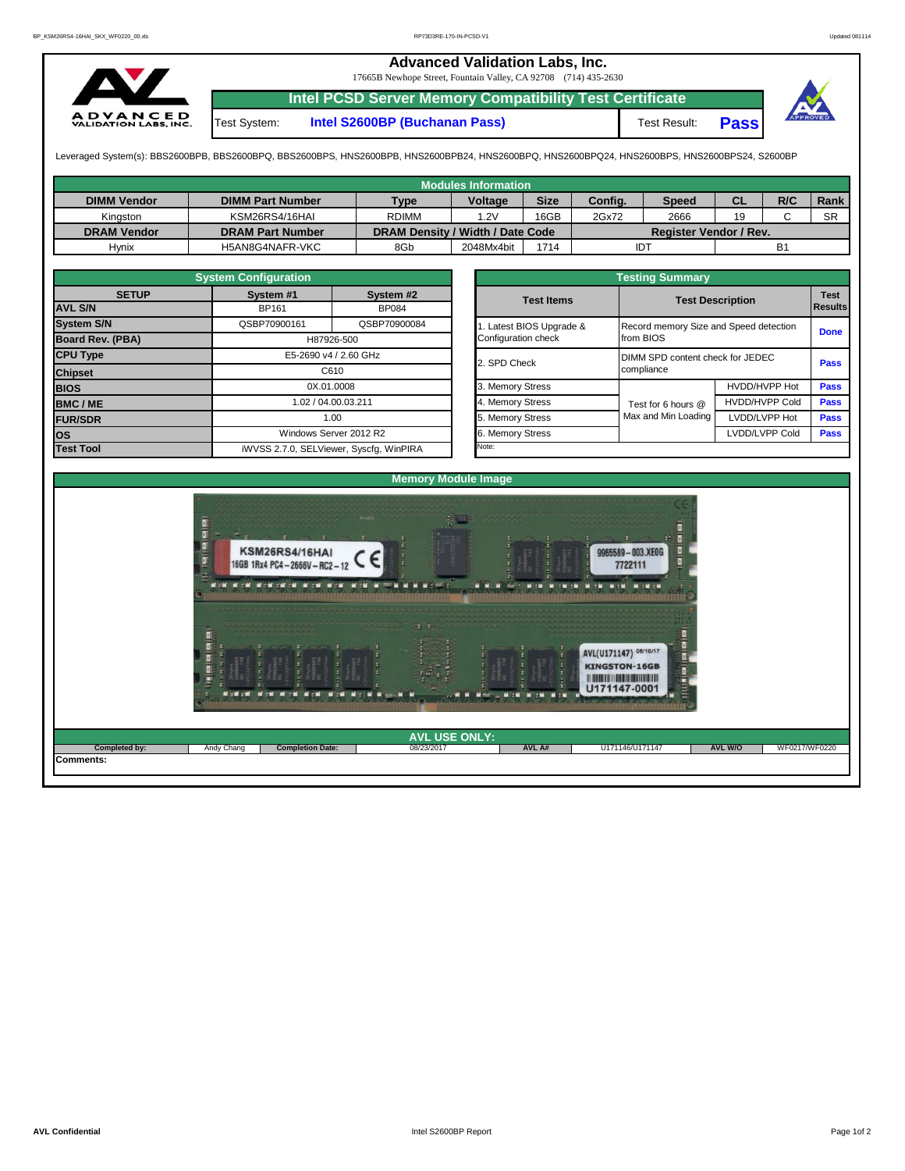## **Advanced Validation Labs, Inc.**  17665B Newhope Street, Fountain Valley, CA 92708 (714) 435-2630 **Intel PCSD Server Memory Compatibility Test Certificate A D V A N C E D**<br>VALIDATION LABS, INC. Test System: **Intel S2600BP (Buchanan Pass)** Test Result: **Pass**

Leveraged System(s): BBS2600BPB, BBS2600BPQ, BBS2600BPS, HNS2600BPB, HNS2600BPB24, HNS2600BPQ, HNS2600BPQ24, HNS2600BPS, HNS2600BPS24, S2600BP

|                    |                         |                                  | <b>Modules Information</b> |             |         |                               |           |     |           |
|--------------------|-------------------------|----------------------------------|----------------------------|-------------|---------|-------------------------------|-----------|-----|-----------|
| <b>DIMM Vendor</b> | <b>DIMM Part Number</b> | <b>Type</b>                      | <b>Voltage</b>             | <b>Size</b> | Config. | <b>Speed</b>                  | <b>CL</b> | R/C | Rank      |
| Kingston           | KSM26RS4/16HAI          | <b>RDIMM</b>                     | 1.2V                       | 16GB        | 2Gx72   | 2666                          | 19        |     | <b>SR</b> |
| <b>DRAM Vendor</b> | <b>DRAM Part Number</b> | DRAM Density / Width / Date Code |                            |             |         | <b>Register Vendor / Rev.</b> |           |     |           |
| <b>Hynix</b>       | H5AN8G4NAFR-VKC         | 8Gb                              | 2048Mx4bit                 | 1714        | IDT     |                               |           | B٬  |           |

|                                | <b>System Configuration</b>             |                           |  |                       | <b>Testing Summary</b>           |                                        |             |  |  |  |  |
|--------------------------------|-----------------------------------------|---------------------------|--|-----------------------|----------------------------------|----------------------------------------|-------------|--|--|--|--|
| <b>SETUP</b><br><b>AVL S/N</b> | System #1<br><b>BP161</b>               | System #2<br><b>BP084</b> |  | <b>Test Items</b>     |                                  | <b>Test Description</b>                |             |  |  |  |  |
|                                |                                         |                           |  |                       |                                  |                                        | Results     |  |  |  |  |
| <b>System S/N</b>              | QSBP70900161                            | QSBP70900084              |  | Latest BIOS Upgrade & |                                  | Record memory Size and Speed detection |             |  |  |  |  |
| Board Rev. (PBA)               | H87926-500                              |                           |  | Configuration check   | from BIOS                        | <b>Done</b>                            |             |  |  |  |  |
| <b>CPU Type</b>                | E5-2690 v4 / 2.60 GHz                   |                           |  | 2. SPD Check          | DIMM SPD content check for JEDEC | <b>Pass</b>                            |             |  |  |  |  |
| <b>Chipset</b>                 |                                         | C610                      |  |                       | compliance                       |                                        |             |  |  |  |  |
| <b>BIOS</b>                    |                                         | 0X.01.0008                |  | 3. Memory Stress      |                                  | <b>HVDD/HVPP Hot</b>                   | <b>Pass</b> |  |  |  |  |
| <b>BMC/ME</b>                  |                                         | 1.02 / 04.00.03.211       |  | 4. Memory Stress      | Test for 6 hours @               | <b>HVDD/HVPP Cold</b>                  | <b>Pass</b> |  |  |  |  |
| <b>FUR/SDR</b>                 | 1.00                                    |                           |  | 5. Memory Stress      | Max and Min Loading              | LVDD/LVPP Hot                          | <b>Pass</b> |  |  |  |  |
| <b>los</b>                     |                                         | Windows Server 2012 R2    |  | 6. Memory Stress      |                                  | LVDD/LVPP Cold                         | <b>Pass</b> |  |  |  |  |
| <b>Test Tool</b>               | iWVSS 2.7.0, SELViewer, Syscfq, WinPIRA |                           |  | Note:                 |                                  |                                        |             |  |  |  |  |

|                                                 | <b>Testing Summary</b>                              |                       |                               |
|-------------------------------------------------|-----------------------------------------------------|-----------------------|-------------------------------|
| <b>Test Items</b>                               | <b>Test Description</b>                             |                       | <b>Test</b><br><b>Results</b> |
| 1. Latest BIOS Upgrade &<br>Configuration check | Record memory Size and Speed detection<br>from BIOS |                       | <b>Done</b>                   |
| 2. SPD Check                                    | DIMM SPD content check for JEDEC<br>compliance      |                       | Pass                          |
| 3. Memory Stress                                |                                                     | HVDD/HVPP Hot         | <b>Pass</b>                   |
| 4. Memory Stress                                | Test for 6 hours @                                  | <b>HVDD/HVPP Cold</b> | <b>Pass</b>                   |
| 5. Memory Stress                                | Max and Min Loading                                 | LVDD/LVPP Hot         | Pass                          |
| 6. Memory Stress                                |                                                     | LVDD/LVPP Cold        | <b>Pass</b>                   |
| <b>Note:</b>                                    |                                                     |                       |                               |